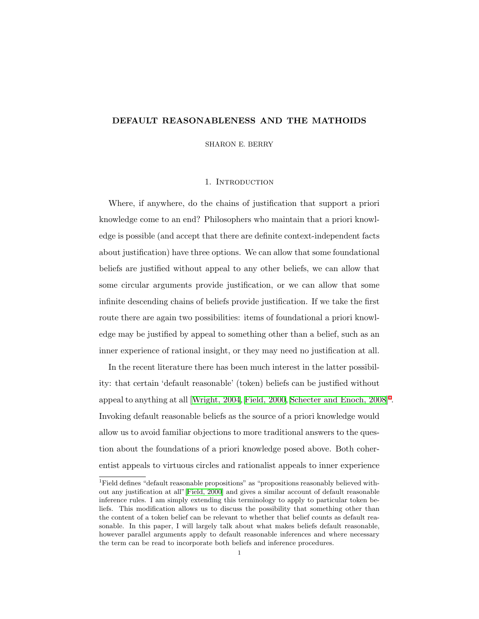# **DEFAULT REASONABLENESS AND THE MATHOIDS**

SHARON E. BERRY

## 1. INTRODUCTION

Where, if anywhere, do the chains of justification that support a priori knowledge come to an end? Philosophers who maintain that a priori knowledge is possible (and accept that there are definite context-independent facts about justification) have three options. We can allow that some foundational beliefs are justified without appeal to any other beliefs, we can allow that some circular arguments provide justification, or we can allow that some infinite descending chains of beliefs provide justification. If we take the first route there are again two possibilities: items of foundational a priori knowledge may be justified by appeal to something other than a belief, such as an inner experience of rational insight, or they may need no justification at all.

In the recent literature there has been much interest in the latter possibility: that certain 'default reasonable' (token) beliefs can be justified without appeal to anything at all [[Wright, 2004](#page-29-0), [Field, 2000](#page-29-1), [Schecter and Enoch, 2008\]](#page-29-2) [1](#page-0-0) . Invoking default reasonable beliefs as the source of a priori knowledge would allow us to avoid familiar objections to more traditional answers to the question about the foundations of a priori knowledge posed above. Both coherentist appeals to virtuous circles and rationalist appeals to inner experience

<span id="page-0-0"></span><sup>1</sup>Field defines "default reasonable propositions" as "propositions reasonably believed without any justification at all"[\[Field, 2000\]](#page-29-1) and gives a similar account of default reasonable inference rules. I am simply extending this terminology to apply to particular token beliefs. This modification allows us to discuss the possibility that something other than the content of a token belief can be relevant to whether that belief counts as default reasonable. In this paper, I will largely talk about what makes beliefs default reasonable, however parallel arguments apply to default reasonable inferences and where necessary the term can be read to incorporate both beliefs and inference procedures.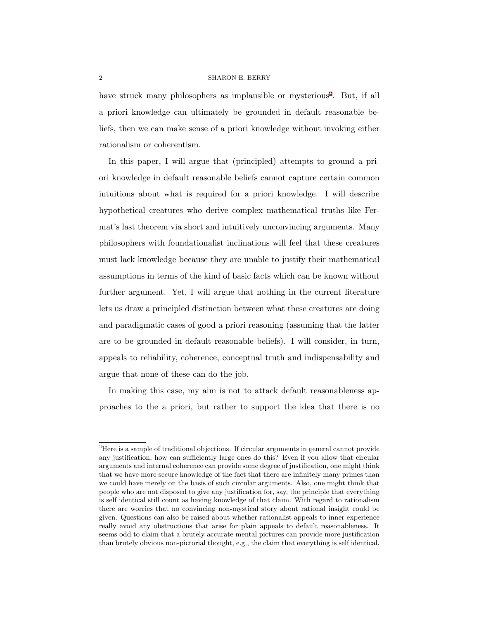have struck many philosophers as implausible or mysterious<sup>[2](#page-1-0)</sup>. But, if all a priori knowledge can ultimately be grounded in default reasonable beliefs, then we can make sense of a priori knowledge without invoking either rationalism or coherentism.

In this paper, I will argue that (principled) attempts to ground a priori knowledge in default reasonable beliefs cannot capture certain common intuitions about what is required for a priori knowledge. I will describe hypothetical creatures who derive complex mathematical truths like Fermat's last theorem via short and intuitively unconvincing arguments. Many philosophers with foundationalist inclinations will feel that these creatures must lack knowledge because they are unable to justify their mathematical assumptions in terms of the kind of basic facts which can be known without further argument. Yet, I will argue that nothing in the current literature lets us draw a principled distinction between what these creatures are doing and paradigmatic cases of good a priori reasoning (assuming that the latter are to be grounded in default reasonable beliefs). I will consider, in turn, appeals to reliability, coherence, conceptual truth and indispensability and argue that none of these can do the job.

In making this case, my aim is not to attack default reasonableness approaches to the a priori, but rather to support the idea that there is no

<span id="page-1-0"></span><sup>2</sup>Here is a sample of traditional objections. If circular arguments in general cannot provide any justification, how can sufficiently large ones do this? Even if you allow that circular arguments and internal coherence can provide some degree of justification, one might think that we have more secure knowledge of the fact that there are infinitely many primes than we could have merely on the basis of such circular arguments. Also, one might think that people who are not disposed to give any justification for, say, the principle that everything is self identical still count as having knowledge of that claim. With regard to rationalism there are worries that no convincing non-mystical story about rational insight could be given. Questions can also be raised about whether rationalist appeals to inner experience really avoid any obstructions that arise for plain appeals to default reasonableness. It seems odd to claim that a brutely accurate mental pictures can provide more justification than brutely obvious non-pictorial thought, e.g., the claim that everything is self identical.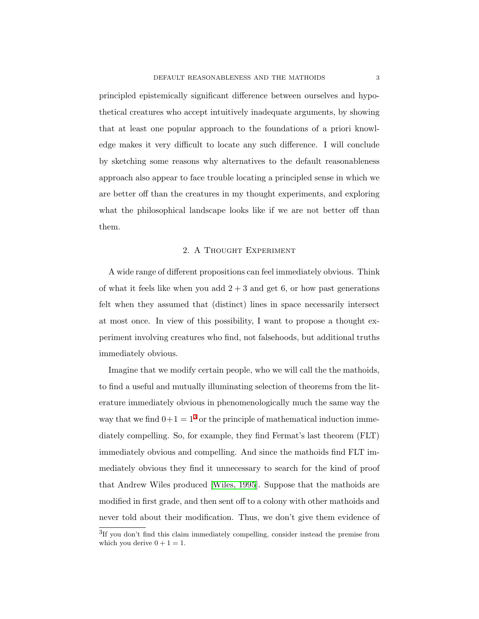principled epistemically significant difference between ourselves and hypothetical creatures who accept intuitively inadequate arguments, by showing that at least one popular approach to the foundations of a priori knowledge makes it very difficult to locate any such difference. I will conclude by sketching some reasons why alternatives to the default reasonableness approach also appear to face trouble locating a principled sense in which we are better off than the creatures in my thought experiments, and exploring what the philosophical landscape looks like if we are not better off than them.

### 2. A Thought Experiment

A wide range of different propositions can feel immediately obvious. Think of what it feels like when you add  $2 + 3$  and get 6, or how past generations felt when they assumed that (distinct) lines in space necessarily intersect at most once. In view of this possibility, I want to propose a thought experiment involving creatures who find, not falsehoods, but additional truths immediately obvious.

Imagine that we modify certain people, who we will call the the mathoids, to find a useful and mutually illuminating selection of theorems from the literature immediately obvious in phenomenologically much the same way the way that we find  $0+1=1^3$  $0+1=1^3$  or the principle of mathematical induction immediately compelling. So, for example, they find Fermat's last theorem (FLT) immediately obvious and compelling. And since the mathoids find FLT immediately obvious they find it unnecessary to search for the kind of proof that Andrew Wiles produced [[Wiles, 1995](#page-29-3)]. Suppose that the mathoids are modified in first grade, and then sent off to a colony with other mathoids and never told about their modification. Thus, we don't give them evidence of

<span id="page-2-0"></span><sup>&</sup>lt;sup>3</sup>If you don't find this claim immediately compelling, consider instead the premise from which you derive  $0 + 1 = 1$ .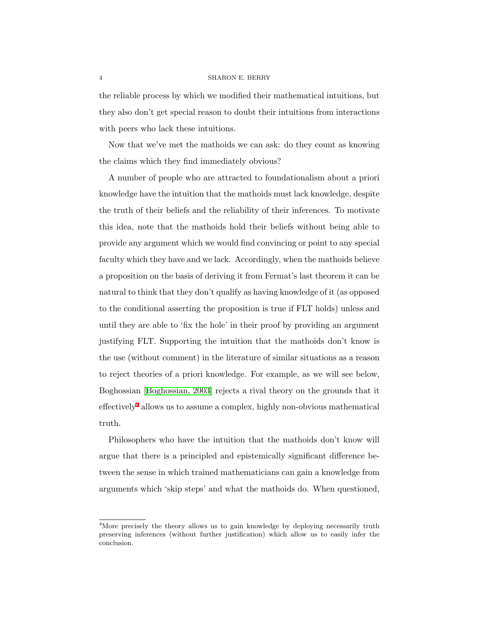the reliable process by which we modified their mathematical intuitions, but they also don't get special reason to doubt their intuitions from interactions with peers who lack these intuitions.

Now that we've met the mathoids we can ask: do they count as knowing the claims which they find immediately obvious?

A number of people who are attracted to foundationalism about a priori knowledge have the intuition that the mathoids must lack knowledge, despite the truth of their beliefs and the reliability of their inferences. To motivate this idea, note that the mathoids hold their beliefs without being able to provide any argument which we would find convincing or point to any special faculty which they have and we lack. Accordingly, when the mathoids believe a proposition on the basis of deriving it from Fermat's last theorem it can be natural to think that they don't qualify as having knowledge of it (as opposed to the conditional asserting the proposition is true if FLT holds) unless and until they are able to 'fix the hole' in their proof by providing an argument justifying FLT. Supporting the intuition that the mathoids don't know is the use (without comment) in the literature of similar situations as a reason to reject theories of a priori knowledge. For example, as we will see below, Boghossian [[Boghossian, 2003\]](#page-28-0) rejects a rival theory on the grounds that it effectively<sup>[4](#page-3-0)</sup> allows us to assume a complex, highly non-obvious mathematical truth.

Philosophers who have the intuition that the mathoids don't know will argue that there is a principled and epistemically significant difference between the sense in which trained mathematicians can gain a knowledge from arguments which 'skip steps' and what the mathoids do. When questioned,

<span id="page-3-0"></span><sup>&</sup>lt;sup>4</sup>More precisely the theory allows us to gain knowledge by deploying necessarily truth preserving inferences (without further justification) which allow us to easily infer the conclusion.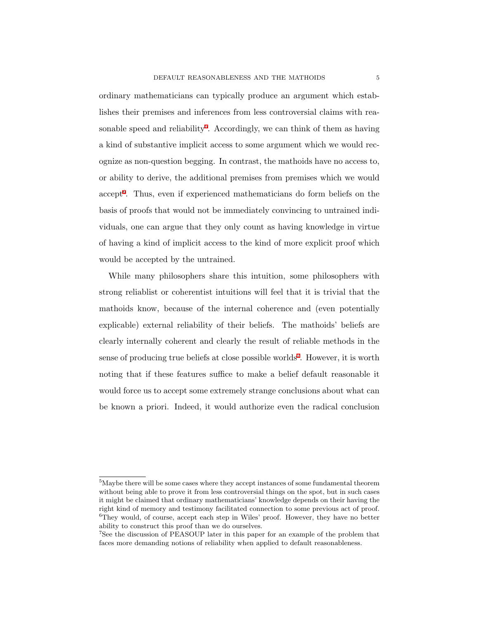ordinary mathematicians can typically produce an argument which establishes their premises and inferences from less controversial claims with rea-sonable speed and reliability<sup>[5](#page-4-0)</sup>. Accordingly, we can think of them as having a kind of substantive implicit access to some argument which we would recognize as non-question begging. In contrast, the mathoids have no access to, or ability to derive, the additional premises from premises which we would accept<sup>[6](#page-4-1)</sup>. Thus, even if experienced mathematicians do form beliefs on the basis of proofs that would not be immediately convincing to untrained individuals, one can argue that they only count as having knowledge in virtue of having a kind of implicit access to the kind of more explicit proof which would be accepted by the untrained.

While many philosophers share this intuition, some philosophers with strong reliablist or coherentist intuitions will feel that it is trivial that the mathoids know, because of the internal coherence and (even potentially explicable) external reliability of their beliefs. The mathoids' beliefs are clearly internally coherent and clearly the result of reliable methods in the sense of producing true beliefs at close possible worlds<sup>[7](#page-4-2)</sup>. However, it is worth noting that if these features suffice to make a belief default reasonable it would force us to accept some extremely strange conclusions about what can be known a priori. Indeed, it would authorize even the radical conclusion

<span id="page-4-0"></span><sup>&</sup>lt;sup>5</sup>Maybe there will be some cases where they accept instances of some fundamental theorem without being able to prove it from less controversial things on the spot, but in such cases it might be claimed that ordinary mathematicians' knowledge depends on their having the right kind of memory and testimony facilitated connection to some previous act of proof. <sup>6</sup>They would, of course, accept each step in Wiles' proof. However, they have no better ability to construct this proof than we do ourselves.

<span id="page-4-2"></span><span id="page-4-1"></span><sup>7</sup>See the discussion of PEASOUP later in this paper for an example of the problem that faces more demanding notions of reliability when applied to default reasonableness.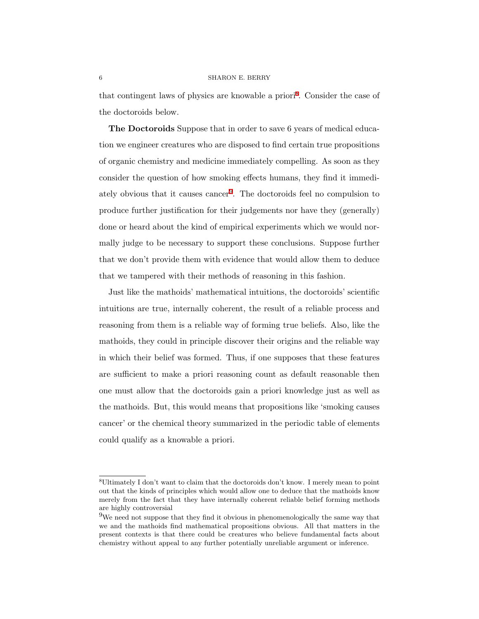that contingent laws of physics are knowable a priori<sup>[8](#page-5-0)</sup>. Consider the case of the doctoroids below.

**The Doctoroids** Suppose that in order to save 6 years of medical education we engineer creatures who are disposed to find certain true propositions of organic chemistry and medicine immediately compelling. As soon as they consider the question of how smoking effects humans, they find it immedi-ately obvious that it causes cancer<sup>[9](#page-5-1)</sup>. The doctoroids feel no compulsion to produce further justification for their judgements nor have they (generally) done or heard about the kind of empirical experiments which we would normally judge to be necessary to support these conclusions. Suppose further that we don't provide them with evidence that would allow them to deduce that we tampered with their methods of reasoning in this fashion.

Just like the mathoids' mathematical intuitions, the doctoroids' scientific intuitions are true, internally coherent, the result of a reliable process and reasoning from them is a reliable way of forming true beliefs. Also, like the mathoids, they could in principle discover their origins and the reliable way in which their belief was formed. Thus, if one supposes that these features are sufficient to make a priori reasoning count as default reasonable then one must allow that the doctoroids gain a priori knowledge just as well as the mathoids. But, this would means that propositions like 'smoking causes cancer' or the chemical theory summarized in the periodic table of elements could qualify as a knowable a priori.

<span id="page-5-0"></span><sup>8</sup>Ultimately I don't want to claim that the doctoroids don't know. I merely mean to point out that the kinds of principles which would allow one to deduce that the mathoids know merely from the fact that they have internally coherent reliable belief forming methods are highly controversial

<span id="page-5-1"></span> $9W$ e need not suppose that they find it obvious in phenomenologically the same way that we and the mathoids find mathematical propositions obvious. All that matters in the present contexts is that there could be creatures who believe fundamental facts about chemistry without appeal to any further potentially unreliable argument or inference.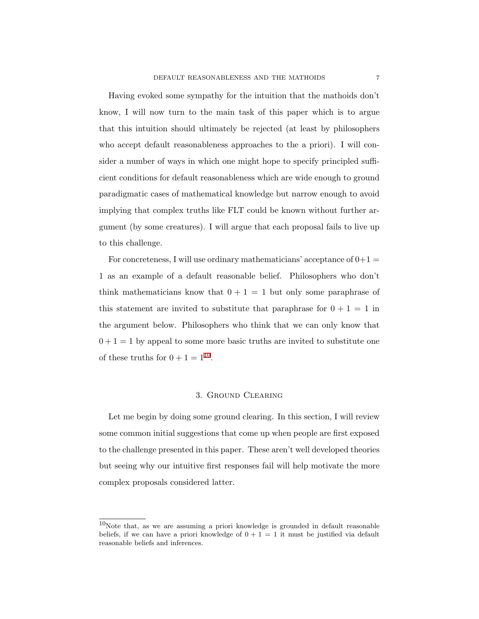Having evoked some sympathy for the intuition that the mathoids don't know, I will now turn to the main task of this paper which is to argue that this intuition should ultimately be rejected (at least by philosophers who accept default reasonableness approaches to the a priori). I will consider a number of ways in which one might hope to specify principled sufficient conditions for default reasonableness which are wide enough to ground paradigmatic cases of mathematical knowledge but narrow enough to avoid implying that complex truths like FLT could be known without further argument (by some creatures). I will argue that each proposal fails to live up to this challenge.

For concreteness, I will use ordinary mathematicians' acceptance of  $0+1=$ 1 as an example of a default reasonable belief. Philosophers who don't think mathematicians know that  $0 + 1 = 1$  but only some paraphrase of this statement are invited to substitute that paraphrase for  $0 + 1 = 1$  in the argument below. Philosophers who think that we can only know that  $0 + 1 = 1$  by appeal to some more basic truths are invited to substitute one of these truths for  $0 + 1 = 1^{10}$  $0 + 1 = 1^{10}$  $0 + 1 = 1^{10}$ .

# 3. Ground Clearing

<span id="page-6-1"></span>Let me begin by doing some ground clearing. In this section, I will review some common initial suggestions that come up when people are first exposed to the challenge presented in this paper. These aren't well developed theories but seeing why our intuitive first responses fail will help motivate the more complex proposals considered latter.

<span id="page-6-0"></span> $10$ Note that, as we are assuming a priori knowledge is grounded in default reasonable beliefs, if we can have a priori knowledge of  $0 + 1 = 1$  it must be justified via default reasonable beliefs and inferences.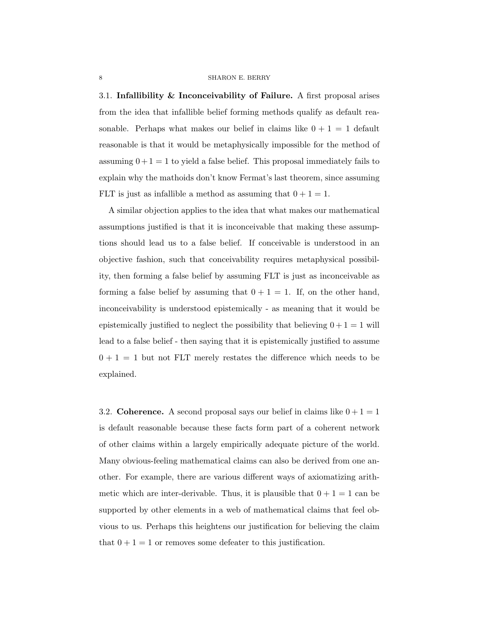3.1. **Infallibility & Inconceivability of Failure.** A first proposal arises from the idea that infallible belief forming methods qualify as default reasonable. Perhaps what makes our belief in claims like  $0 + 1 = 1$  default reasonable is that it would be metaphysically impossible for the method of assuming  $0+1=1$  to yield a false belief. This proposal immediately fails to explain why the mathoids don't know Fermat's last theorem, since assuming FLT is just as infallible a method as assuming that  $0 + 1 = 1$ .

A similar objection applies to the idea that what makes our mathematical assumptions justified is that it is inconceivable that making these assumptions should lead us to a false belief. If conceivable is understood in an objective fashion, such that conceivability requires metaphysical possibility, then forming a false belief by assuming FLT is just as inconceivable as forming a false belief by assuming that  $0 + 1 = 1$ . If, on the other hand, inconceivability is understood epistemically - as meaning that it would be epistemically justified to neglect the possibility that believing  $0 + 1 = 1$  will lead to a false belief - then saying that it is epistemically justified to assume  $0 + 1 = 1$  but not FLT merely restates the difference which needs to be explained.

3.2. **Coherence.** A second proposal says our belief in claims like  $0+1=1$ is default reasonable because these facts form part of a coherent network of other claims within a largely empirically adequate picture of the world. Many obvious-feeling mathematical claims can also be derived from one another. For example, there are various different ways of axiomatizing arithmetic which are inter-derivable. Thus, it is plausible that  $0 + 1 = 1$  can be supported by other elements in a web of mathematical claims that feel obvious to us. Perhaps this heightens our justification for believing the claim that  $0 + 1 = 1$  or removes some defeater to this justification.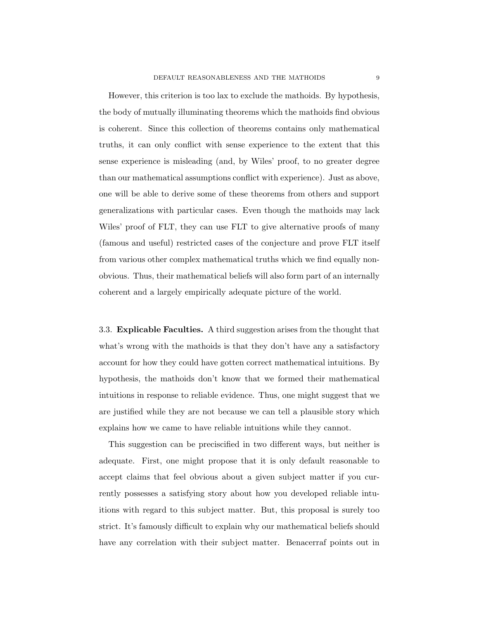However, this criterion is too lax to exclude the mathoids. By hypothesis, the body of mutually illuminating theorems which the mathoids find obvious is coherent. Since this collection of theorems contains only mathematical truths, it can only conflict with sense experience to the extent that this sense experience is misleading (and, by Wiles' proof, to no greater degree than our mathematical assumptions conflict with experience). Just as above, one will be able to derive some of these theorems from others and support generalizations with particular cases. Even though the mathoids may lack Wiles' proof of FLT, they can use FLT to give alternative proofs of many (famous and useful) restricted cases of the conjecture and prove FLT itself from various other complex mathematical truths which we find equally nonobvious. Thus, their mathematical beliefs will also form part of an internally coherent and a largely empirically adequate picture of the world.

3.3. **Explicable Faculties.** A third suggestion arises from the thought that what's wrong with the mathoids is that they don't have any a satisfactory account for how they could have gotten correct mathematical intuitions. By hypothesis, the mathoids don't know that we formed their mathematical intuitions in response to reliable evidence. Thus, one might suggest that we are justified while they are not because we can tell a plausible story which explains how we came to have reliable intuitions while they cannot.

This suggestion can be preciscified in two different ways, but neither is adequate. First, one might propose that it is only default reasonable to accept claims that feel obvious about a given subject matter if you currently possesses a satisfying story about how you developed reliable intuitions with regard to this subject matter. But, this proposal is surely too strict. It's famously difficult to explain why our mathematical beliefs should have any correlation with their subject matter. Benacerraf points out in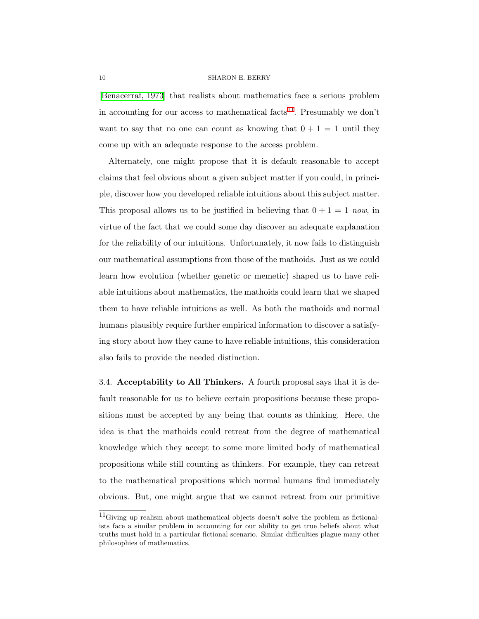[[Benacerraf, 1973](#page-28-1)] that realists about mathematics face a serious problem in accounting for our access to mathematical facts<sup>[11](#page-9-0)</sup>. Presumably we don't want to say that no one can count as knowing that  $0 + 1 = 1$  until they come up with an adequate response to the access problem.

Alternately, one might propose that it is default reasonable to accept claims that feel obvious about a given subject matter if you could, in principle, discover how you developed reliable intuitions about this subject matter. This proposal allows us to be justified in believing that  $0 + 1 = 1$  *now*, in virtue of the fact that we could some day discover an adequate explanation for the reliability of our intuitions. Unfortunately, it now fails to distinguish our mathematical assumptions from those of the mathoids. Just as we could learn how evolution (whether genetic or memetic) shaped us to have reliable intuitions about mathematics, the mathoids could learn that we shaped them to have reliable intuitions as well. As both the mathoids and normal humans plausibly require further empirical information to discover a satisfying story about how they came to have reliable intuitions, this consideration also fails to provide the needed distinction.

3.4. **Acceptability to All Thinkers.** A fourth proposal says that it is default reasonable for us to believe certain propositions because these propositions must be accepted by any being that counts as thinking. Here, the idea is that the mathoids could retreat from the degree of mathematical knowledge which they accept to some more limited body of mathematical propositions while still counting as thinkers. For example, they can retreat to the mathematical propositions which normal humans find immediately obvious. But, one might argue that we cannot retreat from our primitive

<span id="page-9-0"></span> $11$ Giving up realism about mathematical objects doesn't solve the problem as fictionalists face a similar problem in accounting for our ability to get true beliefs about what truths must hold in a particular fictional scenario. Similar difficulties plague many other philosophies of mathematics.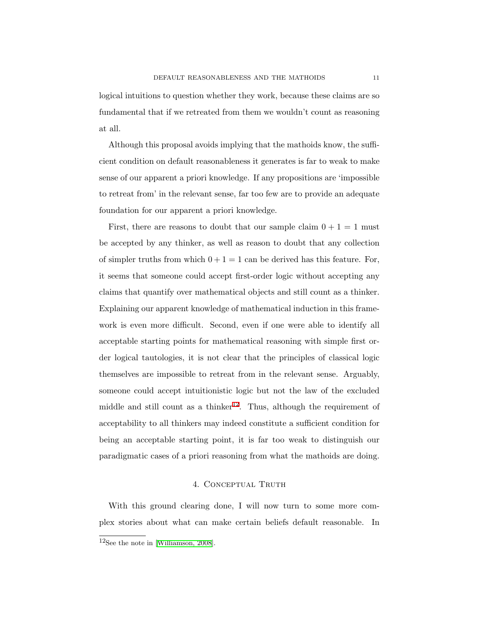logical intuitions to question whether they work, because these claims are so fundamental that if we retreated from them we wouldn't count as reasoning at all.

Although this proposal avoids implying that the mathoids know, the sufficient condition on default reasonableness it generates is far to weak to make sense of our apparent a priori knowledge. If any propositions are 'impossible to retreat from' in the relevant sense, far too few are to provide an adequate foundation for our apparent a priori knowledge.

First, there are reasons to doubt that our sample claim  $0 + 1 = 1$  must be accepted by any thinker, as well as reason to doubt that any collection of simpler truths from which  $0 + 1 = 1$  can be derived has this feature. For, it seems that someone could accept first-order logic without accepting any claims that quantify over mathematical objects and still count as a thinker. Explaining our apparent knowledge of mathematical induction in this framework is even more difficult. Second, even if one were able to identify all acceptable starting points for mathematical reasoning with simple first order logical tautologies, it is not clear that the principles of classical logic themselves are impossible to retreat from in the relevant sense. Arguably, someone could accept intuitionistic logic but not the law of the excluded middle and still count as a thinker<sup>[12](#page-10-0)</sup>. Thus, although the requirement of acceptability to all thinkers may indeed constitute a sufficient condition for being an acceptable starting point, it is far too weak to distinguish our paradigmatic cases of a priori reasoning from what the mathoids are doing.

## 4. Conceptual Truth

With this ground clearing done, I will now turn to some more complex stories about what can make certain beliefs default reasonable. In

<span id="page-10-0"></span> $12$ See the note in [\[Williamson, 2008\]](#page-29-4).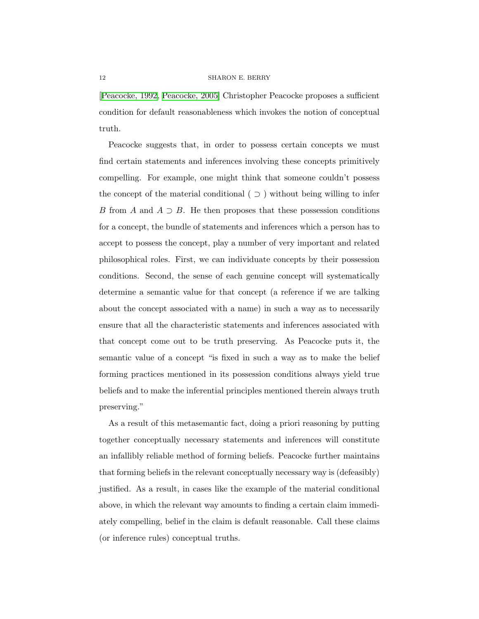[[Peacocke, 1992](#page-29-5), [Peacocke, 2005\]](#page-29-6) Christopher Peacocke proposes a sufficient condition for default reasonableness which invokes the notion of conceptual truth.

Peacocke suggests that, in order to possess certain concepts we must find certain statements and inferences involving these concepts primitively compelling. For example, one might think that someone couldn't possess the concept of the material conditional  $( \supset )$  without being willing to infer *B* from *A* and *A* ⊃ *B*. He then proposes that these possession conditions for a concept, the bundle of statements and inferences which a person has to accept to possess the concept, play a number of very important and related philosophical roles. First, we can individuate concepts by their possession conditions. Second, the sense of each genuine concept will systematically determine a semantic value for that concept (a reference if we are talking about the concept associated with a name) in such a way as to necessarily ensure that all the characteristic statements and inferences associated with that concept come out to be truth preserving. As Peacocke puts it, the semantic value of a concept "is fixed in such a way as to make the belief forming practices mentioned in its possession conditions always yield true beliefs and to make the inferential principles mentioned therein always truth preserving."

As a result of this metasemantic fact, doing a priori reasoning by putting together conceptually necessary statements and inferences will constitute an infallibly reliable method of forming beliefs. Peacocke further maintains that forming beliefs in the relevant conceptually necessary way is (defeasibly) justified. As a result, in cases like the example of the material conditional above, in which the relevant way amounts to finding a certain claim immediately compelling, belief in the claim is default reasonable. Call these claims (or inference rules) conceptual truths.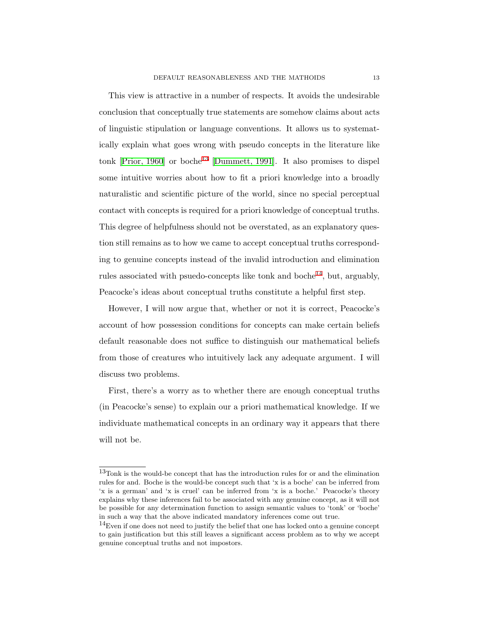This view is attractive in a number of respects. It avoids the undesirable conclusion that conceptually true statements are somehow claims about acts of linguistic stipulation or language conventions. It allows us to systematically explain what goes wrong with pseudo concepts in the literature like tonk [[Prior, 1960\]](#page-29-7) or boche<sup>[13](#page-12-0)</sup> [\[Dummett, 1991\]](#page-29-8). It also promises to dispel some intuitive worries about how to fit a priori knowledge into a broadly naturalistic and scientific picture of the world, since no special perceptual contact with concepts is required for a priori knowledge of conceptual truths. This degree of helpfulness should not be overstated, as an explanatory question still remains as to how we came to accept conceptual truths corresponding to genuine concepts instead of the invalid introduction and elimination rules associated with psuedo-concepts like tonk and boche<sup>[14](#page-12-1)</sup>, but, arguably, Peacocke's ideas about conceptual truths constitute a helpful first step.

However, I will now argue that, whether or not it is correct, Peacocke's account of how possession conditions for concepts can make certain beliefs default reasonable does not suffice to distinguish our mathematical beliefs from those of creatures who intuitively lack any adequate argument. I will discuss two problems.

First, there's a worry as to whether there are enough conceptual truths (in Peacocke's sense) to explain our a priori mathematical knowledge. If we individuate mathematical concepts in an ordinary way it appears that there will not be.

<span id="page-12-0"></span><sup>13</sup>Tonk is the would-be concept that has the introduction rules for or and the elimination rules for and. Boche is the would-be concept such that 'x is a boche' can be inferred from 'x is a german' and 'x is cruel' can be inferred from 'x is a boche.' Peacocke's theory explains why these inferences fail to be associated with any genuine concept, as it will not be possible for any determination function to assign semantic values to 'tonk' or 'boche' in such a way that the above indicated mandatory inferences come out true.

<span id="page-12-1"></span> $14$ Even if one does not need to justify the belief that one has locked onto a genuine concept to gain justification but this still leaves a significant access problem as to why we accept genuine conceptual truths and not impostors.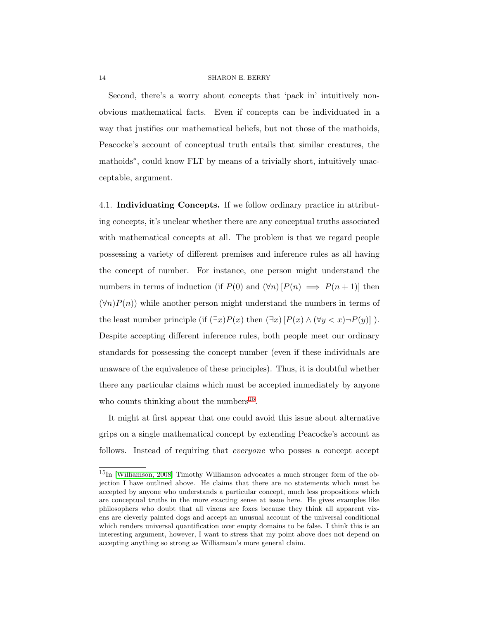Second, there's a worry about concepts that 'pack in' intuitively nonobvious mathematical facts. Even if concepts can be individuated in a way that justifies our mathematical beliefs, but not those of the mathoids, Peacocke's account of conceptual truth entails that similar creatures, the mathoids*∗* , could know FLT by means of a trivially short, intuitively unacceptable, argument.

4.1. **Individuating Concepts.** If we follow ordinary practice in attributing concepts, it's unclear whether there are any conceptual truths associated with mathematical concepts at all. The problem is that we regard people possessing a variety of different premises and inference rules as all having the concept of number. For instance, one person might understand the numbers in terms of induction (if  $P(0)$  and  $(\forall n)[P(n) \implies P(n+1)]$  then (*∀n*)*P*(*n*)) while another person might understand the numbers in terms of the least number principle (if  $(\exists x)P(x)$  then  $(\exists x)[P(x) \land (\forall y < x)\neg P(y)]$ ). Despite accepting different inference rules, both people meet our ordinary standards for possessing the concept number (even if these individuals are unaware of the equivalence of these principles). Thus, it is doubtful whether there any particular claims which must be accepted immediately by anyone who counts thinking about the numbers<sup>[15](#page-13-0)</sup>.

It might at first appear that one could avoid this issue about alternative grips on a single mathematical concept by extending Peacocke's account as follows. Instead of requiring that *everyone* who posses a concept accept

<span id="page-13-0"></span><sup>15</sup>In [[Williamson, 2008\]](#page-29-4) Timothy Williamson advocates a much stronger form of the objection I have outlined above. He claims that there are no statements which must be accepted by anyone who understands a particular concept, much less propositions which are conceptual truths in the more exacting sense at issue here. He gives examples like philosophers who doubt that all vixens are foxes because they think all apparent vixens are cleverly painted dogs and accept an unusual account of the universal conditional which renders universal quantification over empty domains to be false. I think this is an interesting argument, however, I want to stress that my point above does not depend on accepting anything so strong as Williamson's more general claim.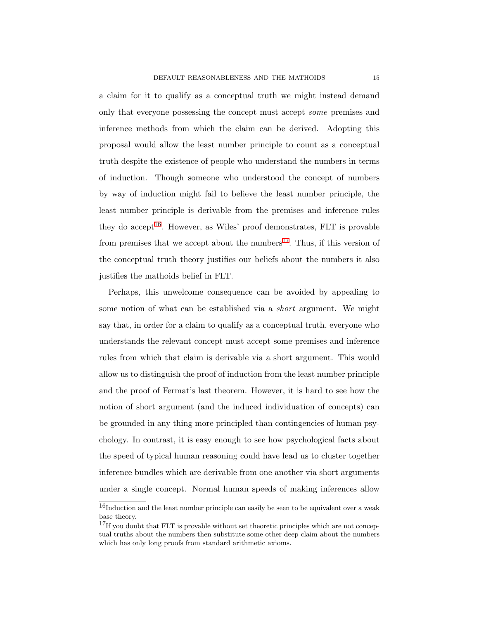a claim for it to qualify as a conceptual truth we might instead demand only that everyone possessing the concept must accept *some* premises and inference methods from which the claim can be derived. Adopting this proposal would allow the least number principle to count as a conceptual truth despite the existence of people who understand the numbers in terms of induction. Though someone who understood the concept of numbers by way of induction might fail to believe the least number principle, the least number principle is derivable from the premises and inference rules they do accept<sup>[16](#page-14-0)</sup>. However, as Wiles' proof demonstrates, FLT is provable from premises that we accept about the numbers<sup>[17](#page-14-1)</sup>. Thus, if this version of the conceptual truth theory justifies our beliefs about the numbers it also justifies the mathoids belief in FLT.

Perhaps, this unwelcome consequence can be avoided by appealing to some notion of what can be established via a *short* argument. We might say that, in order for a claim to qualify as a conceptual truth, everyone who understands the relevant concept must accept some premises and inference rules from which that claim is derivable via a short argument. This would allow us to distinguish the proof of induction from the least number principle and the proof of Fermat's last theorem. However, it is hard to see how the notion of short argument (and the induced individuation of concepts) can be grounded in any thing more principled than contingencies of human psychology. In contrast, it is easy enough to see how psychological facts about the speed of typical human reasoning could have lead us to cluster together inference bundles which are derivable from one another via short arguments under a single concept. Normal human speeds of making inferences allow

<span id="page-14-0"></span> $^{16}\mathrm{Induction}$  and the least number principle can easily be seen to be equivalent over a weak base theory.

<span id="page-14-1"></span> $^{17}$ If you doubt that FLT is provable without set theoretic principles which are not conceptual truths about the numbers then substitute some other deep claim about the numbers which has only long proofs from standard arithmetic axioms.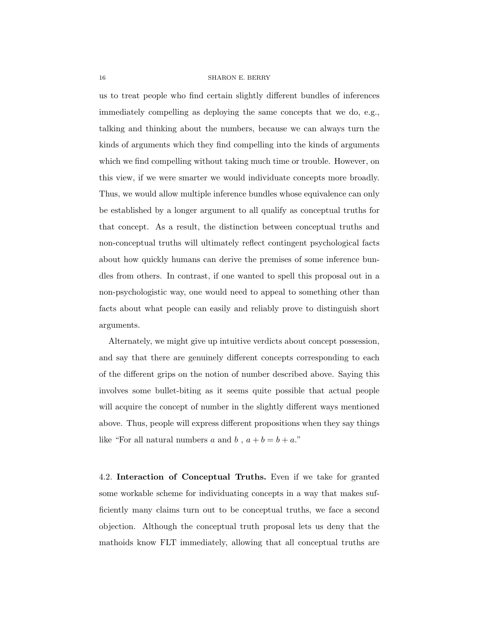us to treat people who find certain slightly different bundles of inferences immediately compelling as deploying the same concepts that we do, e.g., talking and thinking about the numbers, because we can always turn the kinds of arguments which they find compelling into the kinds of arguments which we find compelling without taking much time or trouble. However, on this view, if we were smarter we would individuate concepts more broadly. Thus, we would allow multiple inference bundles whose equivalence can only be established by a longer argument to all qualify as conceptual truths for that concept. As a result, the distinction between conceptual truths and non-conceptual truths will ultimately reflect contingent psychological facts about how quickly humans can derive the premises of some inference bundles from others. In contrast, if one wanted to spell this proposal out in a non-psychologistic way, one would need to appeal to something other than facts about what people can easily and reliably prove to distinguish short arguments.

Alternately, we might give up intuitive verdicts about concept possession, and say that there are genuinely different concepts corresponding to each of the different grips on the notion of number described above. Saying this involves some bullet-biting as it seems quite possible that actual people will acquire the concept of number in the slightly different ways mentioned above. Thus, people will express different propositions when they say things like "For all natural numbers  $a$  and  $b$ ,  $a + b = b + a$ ."

4.2. **Interaction of Conceptual Truths.** Even if we take for granted some workable scheme for individuating concepts in a way that makes sufficiently many claims turn out to be conceptual truths, we face a second objection. Although the conceptual truth proposal lets us deny that the mathoids know FLT immediately, allowing that all conceptual truths are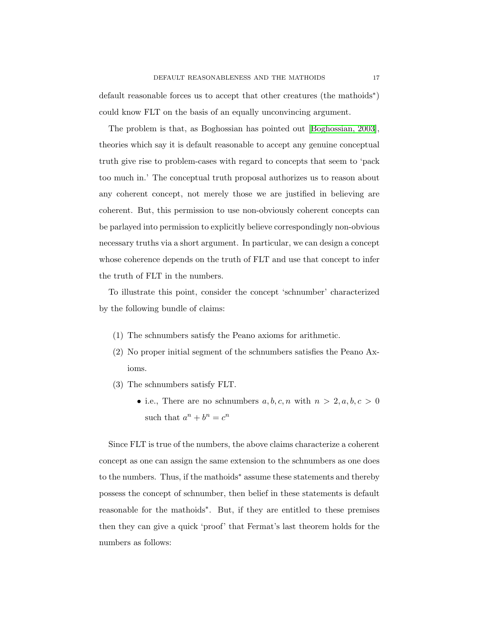default reasonable forces us to accept that other creatures (the mathoids*∗* ) could know FLT on the basis of an equally unconvincing argument.

The problem is that, as Boghossian has pointed out [\[Boghossian, 2003](#page-28-0)], theories which say it is default reasonable to accept any genuine conceptual truth give rise to problem-cases with regard to concepts that seem to 'pack too much in.' The conceptual truth proposal authorizes us to reason about any coherent concept, not merely those we are justified in believing are coherent. But, this permission to use non-obviously coherent concepts can be parlayed into permission to explicitly believe correspondingly non-obvious necessary truths via a short argument. In particular, we can design a concept whose coherence depends on the truth of FLT and use that concept to infer the truth of FLT in the numbers.

To illustrate this point, consider the concept 'schnumber' characterized by the following bundle of claims:

- <span id="page-16-2"></span><span id="page-16-0"></span>(1) The schnumbers satisfy the Peano axioms for arithmetic.
- (2) No proper initial segment of the schnumbers satisfies the Peano Axioms.
- <span id="page-16-1"></span>(3) The schnumbers satisfy FLT.
	- i.e., There are no schnumbers  $a, b, c, n$  with  $n > 2, a, b, c > 0$ such that  $a^n + b^n = c^n$

Since FLT is true of the numbers, the above claims characterize a coherent concept as one can assign the same extension to the schnumbers as one does to the numbers. Thus, if the mathoids*∗* assume these statements and thereby possess the concept of schnumber, then belief in these statements is default reasonable for the mathoids*∗* . But, if they are entitled to these premises then they can give a quick 'proof' that Fermat's last theorem holds for the numbers as follows: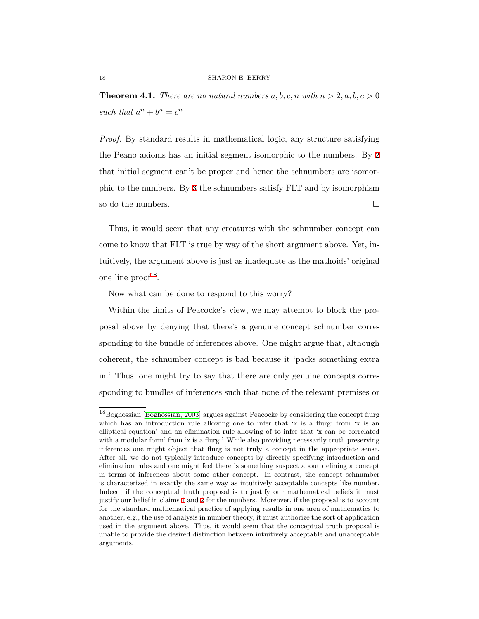**Theorem 4.1.** *There are no natural numbers*  $a, b, c, n$  *with*  $n > 2, a, b, c > 0$ *such that*  $a^n + b^n = c^n$ 

*Proof.* By standard results in mathematical logic, any structure satisfying the Peano axioms has an initial segment isomorphic to the numbers. By [2](#page-16-0) that initial segment can't be proper and hence the schnumbers are isomorphic to the numbers. By [3](#page-16-1) the schnumbers satisfy FLT and by isomorphism so do the numbers.  $\Box$ 

Thus, it would seem that any creatures with the schnumber concept can come to know that FLT is true by way of the short argument above. Yet, intuitively, the argument above is just as inadequate as the mathoids' original one line proof<sup>[18](#page-17-0)</sup>.

Now what can be done to respond to this worry?

Within the limits of Peacocke's view, we may attempt to block the proposal above by denying that there's a genuine concept schnumber corresponding to the bundle of inferences above. One might argue that, although coherent, the schnumber concept is bad because it 'packs something extra in.' Thus, one might try to say that there are only genuine concepts corresponding to bundles of inferences such that none of the relevant premises or

<span id="page-17-0"></span><sup>18</sup>Boghossian [\[Boghossian, 2003](#page-28-0)] argues against Peacocke by considering the concept flurg which has an introduction rule allowing one to infer that 'x is a flurg' from 'x is an elliptical equation' and an elimination rule allowing of to infer that 'x can be correlated with a modular form' from 'x is a flurg.' While also providing necessarily truth preserving inferences one might object that flurg is not truly a concept in the appropriate sense. After all, we do not typically introduce concepts by directly specifying introduction and elimination rules and one might feel there is something suspect about defining a concept in terms of inferences about some other concept. In contrast, the concept schnumber is characterized in exactly the same way as intuitively acceptable concepts like number. Indeed, if the conceptual truth proposal is to justify our mathematical beliefs it must justify our belief in claims [1](#page-16-2) and [2](#page-16-0) for the numbers. Moreover, if the proposal is to account for the standard mathematical practice of applying results in one area of mathematics to another, e.g., the use of analysis in number theory, it must authorize the sort of application used in the argument above. Thus, it would seem that the conceptual truth proposal is unable to provide the desired distinction between intuitively acceptable and unacceptable arguments.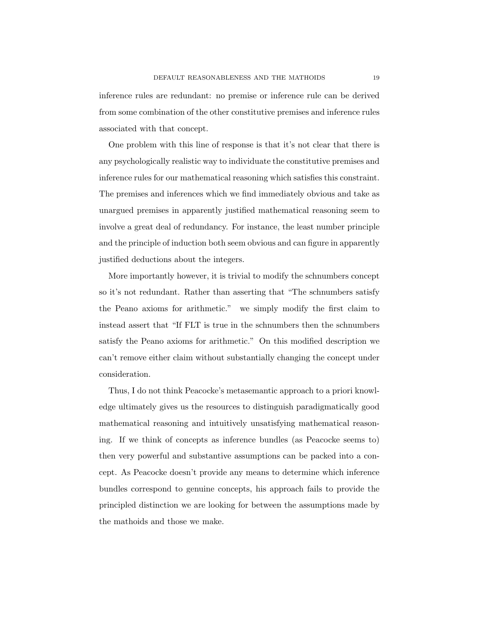inference rules are redundant: no premise or inference rule can be derived from some combination of the other constitutive premises and inference rules associated with that concept.

One problem with this line of response is that it's not clear that there is any psychologically realistic way to individuate the constitutive premises and inference rules for our mathematical reasoning which satisfies this constraint. The premises and inferences which we find immediately obvious and take as unargued premises in apparently justified mathematical reasoning seem to involve a great deal of redundancy. For instance, the least number principle and the principle of induction both seem obvious and can figure in apparently justified deductions about the integers.

More importantly however, it is trivial to modify the schnumbers concept so it's not redundant. Rather than asserting that "The schnumbers satisfy the Peano axioms for arithmetic." we simply modify the first claim to instead assert that "If FLT is true in the schnumbers then the schnumbers satisfy the Peano axioms for arithmetic." On this modified description we can't remove either claim without substantially changing the concept under consideration.

Thus, I do not think Peacocke's metasemantic approach to a priori knowledge ultimately gives us the resources to distinguish paradigmatically good mathematical reasoning and intuitively unsatisfying mathematical reasoning. If we think of concepts as inference bundles (as Peacocke seems to) then very powerful and substantive assumptions can be packed into a concept. As Peacocke doesn't provide any means to determine which inference bundles correspond to genuine concepts, his approach fails to provide the principled distinction we are looking for between the assumptions made by the mathoids and those we make.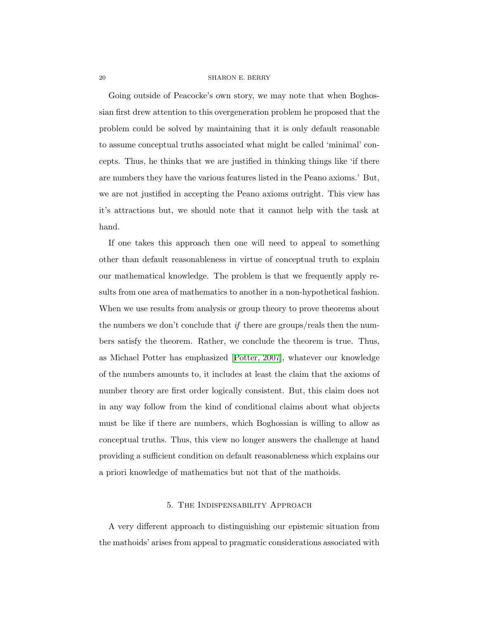Going outside of Peacocke's own story, we may note that when Boghossian first drew attention to this overgeneration problem he proposed that the problem could be solved by maintaining that it is only default reasonable to assume conceptual truths associated what might be called 'minimal' concepts. Thus, he thinks that we are justified in thinking things like 'if there are numbers they have the various features listed in the Peano axioms.' But, we are not justified in accepting the Peano axioms outright. This view has it's attractions but, we should note that it cannot help with the task at hand.

If one takes this approach then one will need to appeal to something other than default reasonableness in virtue of conceptual truth to explain our mathematical knowledge. The problem is that we frequently apply results from one area of mathematics to another in a non-hypothetical fashion. When we use results from analysis or group theory to prove theorems about the numbers we don't conclude that *if* there are groups/reals then the numbers satisfy the theorem. Rather, we conclude the theorem is true. Thus, as Michael Potter has emphasized [\[Potter, 2007\]](#page-29-9), whatever our knowledge of the numbers amounts to, it includes at least the claim that the axioms of number theory are first order logically consistent. But, this claim does not in any way follow from the kind of conditional claims about what objects must be like if there are numbers, which Boghossian is willing to allow as conceptual truths. Thus, this view no longer answers the challenge at hand providing a sufficient condition on default reasonableness which explains our a priori knowledge of mathematics but not that of the mathoids.

# 5. The Indispensability Approach

A very different approach to distinguishing our epistemic situation from the mathoids' arises from appeal to pragmatic considerations associated with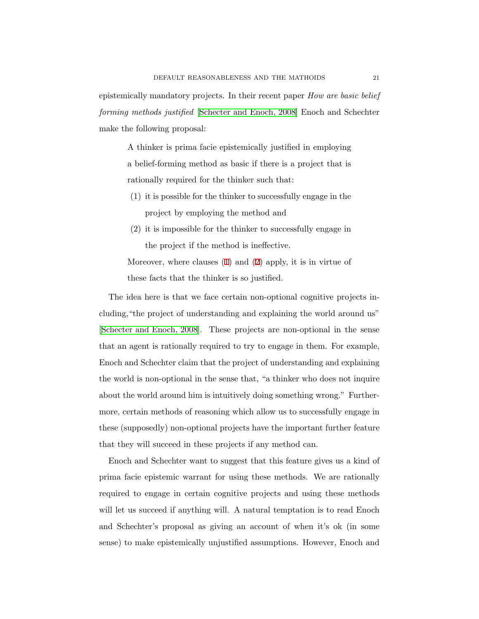epistemically mandatory projects. In their recent paper *How are basic belief forming methods justified* [\[Schecter and Enoch, 2008\]](#page-29-2) Enoch and Schechter make the following proposal:

A thinker is prima facie epistemically justified in employing a belief-forming method as basic if there is a project that is rationally required for the thinker such that:

- <span id="page-20-0"></span>(1) it is possible for the thinker to successfully engage in the project by employing the method and
- <span id="page-20-1"></span>(2) it is impossible for the thinker to successfully engage in the project if the method is ineffective.

Moreover, where clauses [\(1\)](#page-20-0) and ([2\)](#page-20-1) apply, it is in virtue of these facts that the thinker is so justified.

The idea here is that we face certain non-optional cognitive projects including,"the project of understanding and explaining the world around us" [[Schecter and Enoch, 2008\]](#page-29-2). These projects are non-optional in the sense that an agent is rationally required to try to engage in them. For example, Enoch and Schechter claim that the project of understanding and explaining the world is non-optional in the sense that, "a thinker who does not inquire about the world around him is intuitively doing something wrong." Furthermore, certain methods of reasoning which allow us to successfully engage in these (supposedly) non-optional projects have the important further feature that they will succeed in these projects if any method can.

Enoch and Schechter want to suggest that this feature gives us a kind of prima facie epistemic warrant for using these methods. We are rationally required to engage in certain cognitive projects and using these methods will let us succeed if anything will. A natural temptation is to read Enoch and Schechter's proposal as giving an account of when it's ok (in some sense) to make epistemically unjustified assumptions. However, Enoch and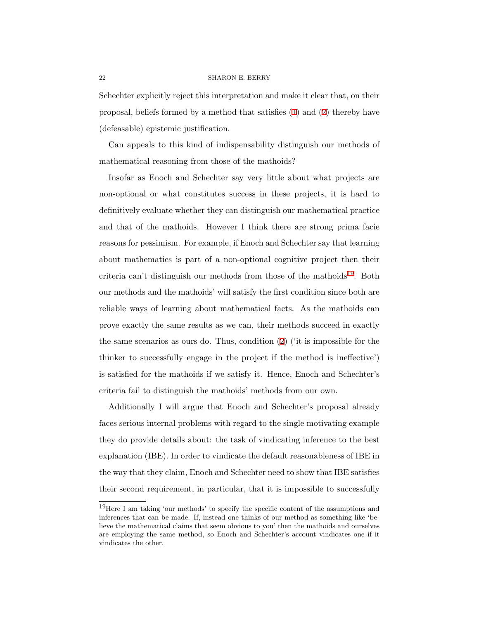Schechter explicitly reject this interpretation and make it clear that, on their proposal, beliefs formed by a method that satisfies [\(1\)](#page-20-0) and ([2](#page-20-1)) thereby have (defeasable) epistemic justification.

Can appeals to this kind of indispensability distinguish our methods of mathematical reasoning from those of the mathoids?

Insofar as Enoch and Schechter say very little about what projects are non-optional or what constitutes success in these projects, it is hard to definitively evaluate whether they can distinguish our mathematical practice and that of the mathoids. However I think there are strong prima facie reasons for pessimism. For example, if Enoch and Schechter say that learning about mathematics is part of a non-optional cognitive project then their criteria can't distinguish our methods from those of the mathoids<sup>[19](#page-21-0)</sup>. Both our methods and the mathoids' will satisfy the first condition since both are reliable ways of learning about mathematical facts. As the mathoids can prove exactly the same results as we can, their methods succeed in exactly the same scenarios as ours do. Thus, condition  $(2)$  $(2)$  $(2)$  ('it is impossible for the thinker to successfully engage in the project if the method is ineffective') is satisfied for the mathoids if we satisfy it. Hence, Enoch and Schechter's criteria fail to distinguish the mathoids' methods from our own.

Additionally I will argue that Enoch and Schechter's proposal already faces serious internal problems with regard to the single motivating example they do provide details about: the task of vindicating inference to the best explanation (IBE). In order to vindicate the default reasonableness of IBE in the way that they claim, Enoch and Schechter need to show that IBE satisfies their second requirement, in particular, that it is impossible to successfully

<span id="page-21-0"></span> $^{19}{\rm Here}$  I am taking 'our methods' to specify the specific content of the assumptions and inferences that can be made. If, instead one thinks of our method as something like 'believe the mathematical claims that seem obvious to you' then the mathoids and ourselves are employing the same method, so Enoch and Schechter's account vindicates one if it vindicates the other.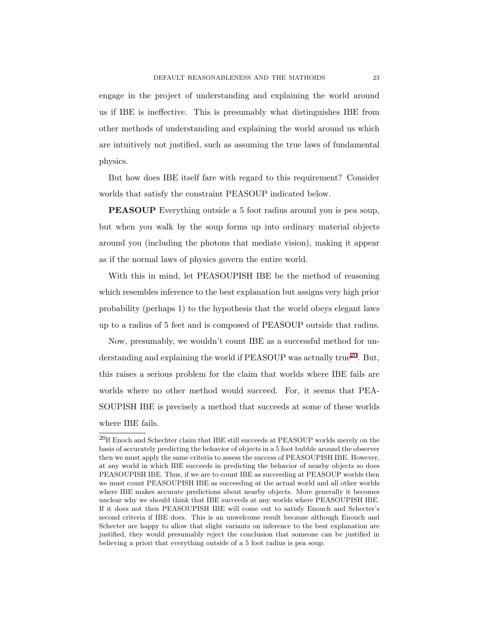engage in the project of understanding and explaining the world around us if IBE is ineffective. This is presumably what distinguishes IBE from other methods of understanding and explaining the world around us which are intuitively not justified, such as assuming the true laws of fundamental physics.

But how does IBE itself fare with regard to this requirement? Consider worlds that satisfy the constraint PEASOUP indicated below.

**PEASOUP** Everything outside a 5 foot radius around you is pea soup, but when you walk by the soup forms up into ordinary material objects around you (including the photons that mediate vision), making it appear as if the normal laws of physics govern the entire world.

With this in mind, let PEASOUPISH IBE be the method of reasoning which resembles inference to the best explanation but assigns very high prior probability (perhaps 1) to the hypothesis that the world obeys elegant laws up to a radius of 5 feet and is composed of PEASOUP outside that radius.

Now, presumably, we wouldn't count IBE as a successful method for un-derstanding and explaining the world if PEASOUP was actually true<sup>[20](#page-22-0)</sup>. But, this raises a serious problem for the claim that worlds where IBE fails are worlds where no other method would succeed. For, it seems that PEA-SOUPISH IBE is precisely a method that succeeds at some of these worlds where IBE fails.

<span id="page-22-0"></span> $^{20}\mathrm{If}$  Enoch and Schechter claim that IBE still succeeds at PEASOUP worlds merely on the basis of accurately predicting the behavior of objects in a 5 foot bubble around the observer then we must apply the same criteria to assess the success of PEASOUPISH IBE. However, at any world in which IBE succeeds in predicting the behavior of nearby objects so does PEASOUPISH IBE. Thus, if we are to count IBE as succeeding at PEASOUP worlds then we must count PEASOUPISH IBE as succeeding at the actual world and all other worlds where IBE makes accurate predictions about nearby objects. More generally it becomes unclear why we should think that IBE succeeds at any worlds where PEASOUPISH IBE. If it does not then PEASOUPISH IBE will come out to satisfy Enouch and Schecter's second criteria if IBE does. This is an unwelcome result because although Enouch and Schecter are happy to allow that slight variants on inference to the best explanation are justified, they would presumably reject the conclusion that someone can be justified in believing a priori that everything outside of a 5 foot radius is pea soup.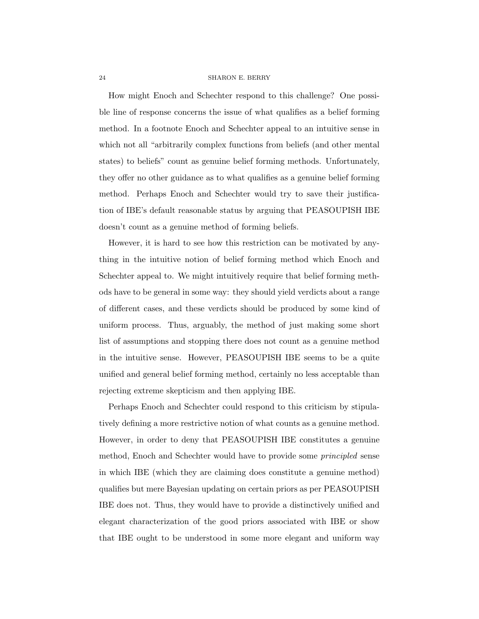How might Enoch and Schechter respond to this challenge? One possible line of response concerns the issue of what qualifies as a belief forming method. In a footnote Enoch and Schechter appeal to an intuitive sense in which not all "arbitrarily complex functions from beliefs (and other mental states) to beliefs" count as genuine belief forming methods. Unfortunately, they offer no other guidance as to what qualifies as a genuine belief forming method. Perhaps Enoch and Schechter would try to save their justification of IBE's default reasonable status by arguing that PEASOUPISH IBE doesn't count as a genuine method of forming beliefs.

However, it is hard to see how this restriction can be motivated by anything in the intuitive notion of belief forming method which Enoch and Schechter appeal to. We might intuitively require that belief forming methods have to be general in some way: they should yield verdicts about a range of different cases, and these verdicts should be produced by some kind of uniform process. Thus, arguably, the method of just making some short list of assumptions and stopping there does not count as a genuine method in the intuitive sense. However, PEASOUPISH IBE seems to be a quite unified and general belief forming method, certainly no less acceptable than rejecting extreme skepticism and then applying IBE.

Perhaps Enoch and Schechter could respond to this criticism by stipulatively defining a more restrictive notion of what counts as a genuine method. However, in order to deny that PEASOUPISH IBE constitutes a genuine method, Enoch and Schechter would have to provide some *principled* sense in which IBE (which they are claiming does constitute a genuine method) qualifies but mere Bayesian updating on certain priors as per PEASOUPISH IBE does not. Thus, they would have to provide a distinctively unified and elegant characterization of the good priors associated with IBE or show that IBE ought to be understood in some more elegant and uniform way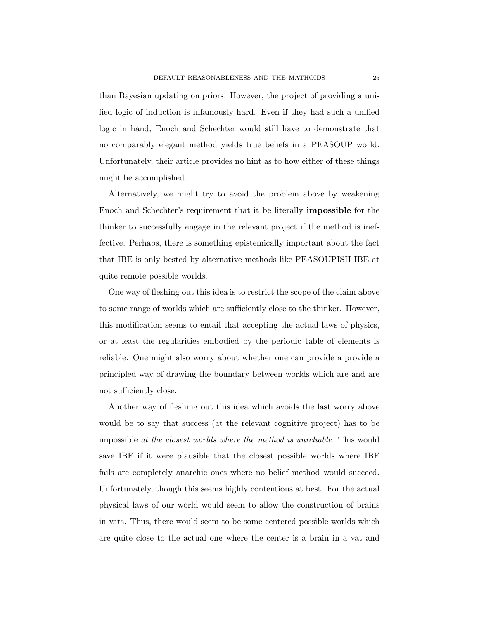than Bayesian updating on priors. However, the project of providing a unified logic of induction is infamously hard. Even if they had such a unified logic in hand, Enoch and Schechter would still have to demonstrate that no comparably elegant method yields true beliefs in a PEASOUP world. Unfortunately, their article provides no hint as to how either of these things might be accomplished.

Alternatively, we might try to avoid the problem above by weakening Enoch and Schechter's requirement that it be literally **impossible** for the thinker to successfully engage in the relevant project if the method is ineffective. Perhaps, there is something epistemically important about the fact that IBE is only bested by alternative methods like PEASOUPISH IBE at quite remote possible worlds.

One way of fleshing out this idea is to restrict the scope of the claim above to some range of worlds which are sufficiently close to the thinker. However, this modification seems to entail that accepting the actual laws of physics, or at least the regularities embodied by the periodic table of elements is reliable. One might also worry about whether one can provide a provide a principled way of drawing the boundary between worlds which are and are not sufficiently close.

Another way of fleshing out this idea which avoids the last worry above would be to say that success (at the relevant cognitive project) has to be impossible *at the closest worlds where the method is unreliable*. This would save IBE if it were plausible that the closest possible worlds where IBE fails are completely anarchic ones where no belief method would succeed. Unfortunately, though this seems highly contentious at best. For the actual physical laws of our world would seem to allow the construction of brains in vats. Thus, there would seem to be some centered possible worlds which are quite close to the actual one where the center is a brain in a vat and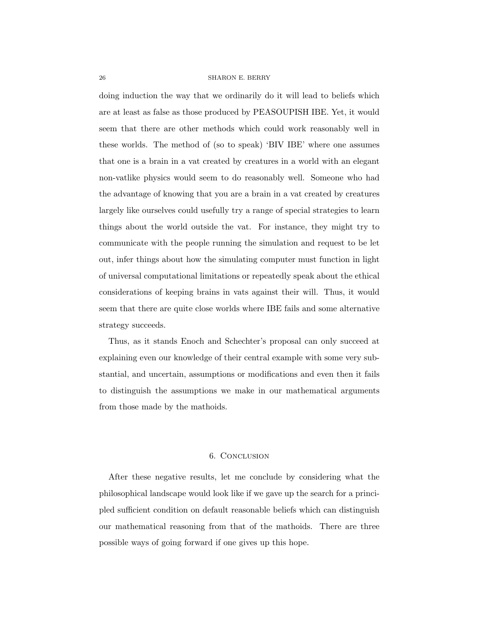doing induction the way that we ordinarily do it will lead to beliefs which are at least as false as those produced by PEASOUPISH IBE. Yet, it would seem that there are other methods which could work reasonably well in these worlds. The method of (so to speak) 'BIV IBE' where one assumes that one is a brain in a vat created by creatures in a world with an elegant non-vatlike physics would seem to do reasonably well. Someone who had the advantage of knowing that you are a brain in a vat created by creatures largely like ourselves could usefully try a range of special strategies to learn things about the world outside the vat. For instance, they might try to communicate with the people running the simulation and request to be let out, infer things about how the simulating computer must function in light of universal computational limitations or repeatedly speak about the ethical considerations of keeping brains in vats against their will. Thus, it would seem that there are quite close worlds where IBE fails and some alternative strategy succeeds.

Thus, as it stands Enoch and Schechter's proposal can only succeed at explaining even our knowledge of their central example with some very substantial, and uncertain, assumptions or modifications and even then it fails to distinguish the assumptions we make in our mathematical arguments from those made by the mathoids.

### 6. Conclusion

After these negative results, let me conclude by considering what the philosophical landscape would look like if we gave up the search for a principled sufficient condition on default reasonable beliefs which can distinguish our mathematical reasoning from that of the mathoids. There are three possible ways of going forward if one gives up this hope.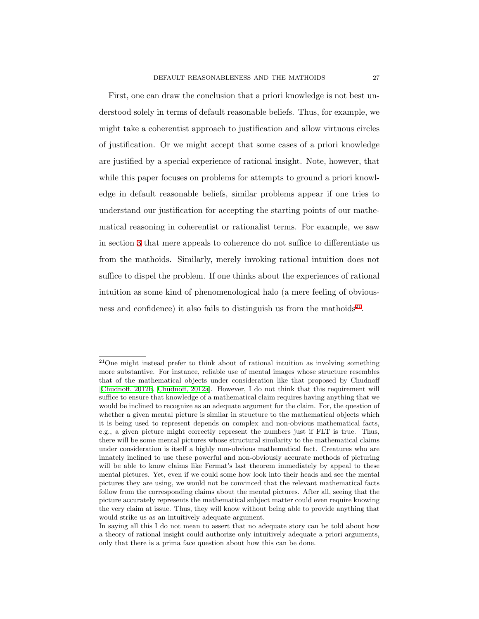First, one can draw the conclusion that a priori knowledge is not best understood solely in terms of default reasonable beliefs. Thus, for example, we might take a coherentist approach to justification and allow virtuous circles of justification. Or we might accept that some cases of a priori knowledge are justified by a special experience of rational insight. Note, however, that while this paper focuses on problems for attempts to ground a priori knowledge in default reasonable beliefs, similar problems appear if one tries to understand our justification for accepting the starting points of our mathematical reasoning in coherentist or rationalist terms. For example, we saw in section [3](#page-6-1) that mere appeals to coherence do not suffice to differentiate us from the mathoids. Similarly, merely invoking rational intuition does not suffice to dispel the problem. If one thinks about the experiences of rational intuition as some kind of phenomenological halo (a mere feeling of obviousness and confidence) it also fails to distinguish us from the mathoids $2<sup>1</sup>$ .

<span id="page-26-0"></span><sup>21</sup>One might instead prefer to think about of rational intuition as involving something more substantive. For instance, reliable use of mental images whose structure resembles that of the mathematical objects under consideration like that proposed by Chudnoff [\[Chudnoff, 2012b](#page-29-10), [Chudnoff, 2012a\]](#page-29-11). However, I do not think that this requirement will suffice to ensure that knowledge of a mathematical claim requires having anything that we would be inclined to recognize as an adequate argument for the claim. For, the question of whether a given mental picture is similar in structure to the mathematical objects which it is being used to represent depends on complex and non-obvious mathematical facts, e.g., a given picture might correctly represent the numbers just if FLT is true. Thus, there will be some mental pictures whose structural similarity to the mathematical claims under consideration is itself a highly non-obvious mathematical fact. Creatures who are innately inclined to use these powerful and non-obviously accurate methods of picturing will be able to know claims like Fermat's last theorem immediately by appeal to these mental pictures. Yet, even if we could some how look into their heads and see the mental pictures they are using, we would not be convinced that the relevant mathematical facts follow from the corresponding claims about the mental pictures. After all, seeing that the picture accurately represents the mathematical subject matter could even require knowing the very claim at issue. Thus, they will know without being able to provide anything that would strike us as an intuitively adequate argument.

In saying all this I do not mean to assert that no adequate story can be told about how a theory of rational insight could authorize only intuitively adequate a priori arguments, only that there is a prima face question about how this can be done.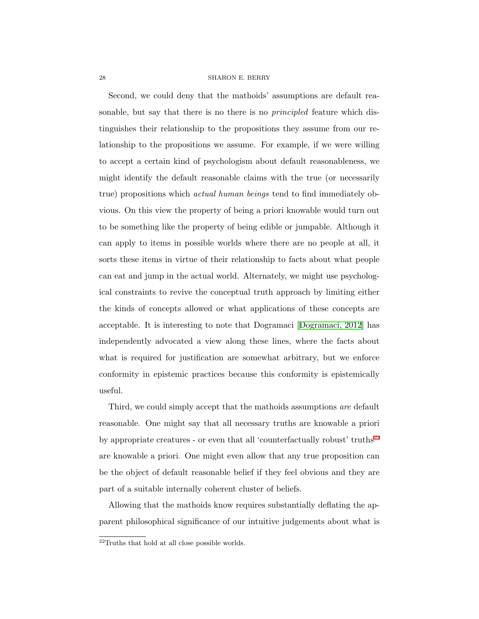Second, we could deny that the mathoids' assumptions are default reasonable, but say that there is no there is no *principled* feature which distinguishes their relationship to the propositions they assume from our relationship to the propositions we assume. For example, if we were willing to accept a certain kind of psychologism about default reasonableness, we might identify the default reasonable claims with the true (or necessarily true) propositions which *actual human beings* tend to find immediately obvious. On this view the property of being a priori knowable would turn out to be something like the property of being edible or jumpable. Although it can apply to items in possible worlds where there are no people at all, it sorts these items in virtue of their relationship to facts about what people can eat and jump in the actual world. Alternately, we might use psychological constraints to revive the conceptual truth approach by limiting either the kinds of concepts allowed or what applications of these concepts are acceptable. It is interesting to note that Dogramaci [[Dogramaci, 2012\]](#page-29-12) has independently advocated a view along these lines, where the facts about what is required for justification are somewhat arbitrary, but we enforce conformity in epistemic practices because this conformity is epistemically useful.

Third, we could simply accept that the mathoids assumptions *are* default reasonable. One might say that all necessary truths are knowable a priori by appropriate creatures - or even that all 'counterfactually robust' truths<sup>[22](#page-27-0)</sup> are knowable a priori. One might even allow that any true proposition can be the object of default reasonable belief if they feel obvious and they are part of a suitable internally coherent cluster of beliefs.

Allowing that the mathoids know requires substantially deflating the apparent philosophical significance of our intuitive judgements about what is

<span id="page-27-0"></span><sup>22</sup>Truths that hold at all close possible worlds.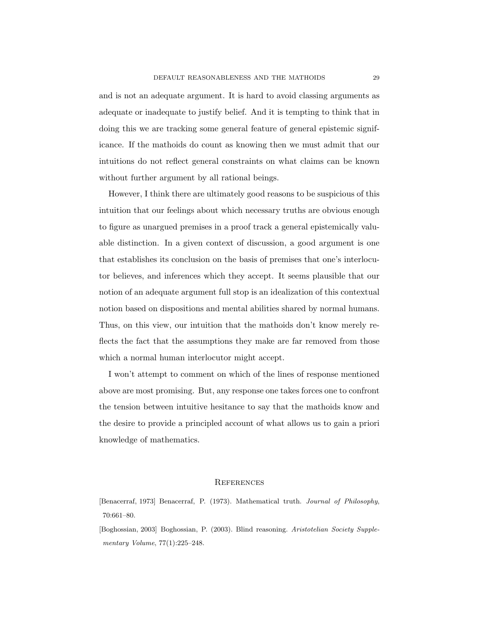and is not an adequate argument. It is hard to avoid classing arguments as adequate or inadequate to justify belief. And it is tempting to think that in doing this we are tracking some general feature of general epistemic significance. If the mathoids do count as knowing then we must admit that our intuitions do not reflect general constraints on what claims can be known without further argument by all rational beings.

However, I think there are ultimately good reasons to be suspicious of this intuition that our feelings about which necessary truths are obvious enough to figure as unargued premises in a proof track a general epistemically valuable distinction. In a given context of discussion, a good argument is one that establishes its conclusion on the basis of premises that one's interlocutor believes, and inferences which they accept. It seems plausible that our notion of an adequate argument full stop is an idealization of this contextual notion based on dispositions and mental abilities shared by normal humans. Thus, on this view, our intuition that the mathoids don't know merely reflects the fact that the assumptions they make are far removed from those which a normal human interlocutor might accept.

I won't attempt to comment on which of the lines of response mentioned above are most promising. But, any response one takes forces one to confront the tension between intuitive hesitance to say that the mathoids know and the desire to provide a principled account of what allows us to gain a priori knowledge of mathematics.

### **REFERENCES**

<span id="page-28-1"></span>[Benacerraf, 1973] Benacerraf, P. (1973). Mathematical truth. *Journal of Philosophy*, 70:661–80.

<span id="page-28-0"></span>[Boghossian, 2003] Boghossian, P. (2003). Blind reasoning. *Aristotelian Society Supplementary Volume*, 77(1):225–248.